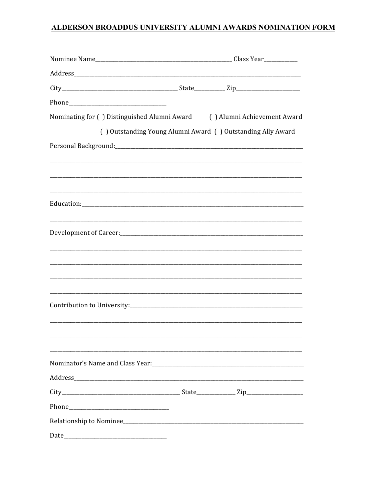# ALDERSON BROADDUS UNIVERSITY ALUMNI AWARDS NOMINATION FORM

| Nominating for () Distinguished Alumni Award () Alumni Achievement Award |                                                             |
|--------------------------------------------------------------------------|-------------------------------------------------------------|
|                                                                          | () Outstanding Young Alumni Award () Outstanding Ally Award |
|                                                                          |                                                             |
|                                                                          |                                                             |
|                                                                          |                                                             |
|                                                                          |                                                             |
|                                                                          |                                                             |
|                                                                          |                                                             |
|                                                                          |                                                             |
|                                                                          |                                                             |
|                                                                          |                                                             |
|                                                                          |                                                             |
|                                                                          |                                                             |
|                                                                          |                                                             |
|                                                                          |                                                             |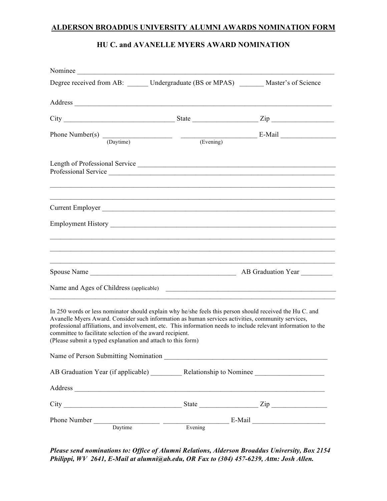### **ALDERSON BROADDUS UNIVERSITY ALUMNI AWARDS NOMINATION FORM**

# **HU C. and AVANELLE MYERS AWARD NOMINATION**

| Nominee                                                                                                                                                                                                                                                                                                                                                                                                                                                     |  |
|-------------------------------------------------------------------------------------------------------------------------------------------------------------------------------------------------------------------------------------------------------------------------------------------------------------------------------------------------------------------------------------------------------------------------------------------------------------|--|
| Degree received from AB: Undergraduate (BS or MPAS) ______ Master's of Science                                                                                                                                                                                                                                                                                                                                                                              |  |
| Address                                                                                                                                                                                                                                                                                                                                                                                                                                                     |  |
| $City$ $2ip$ $2ip$                                                                                                                                                                                                                                                                                                                                                                                                                                          |  |
| Phone Number(s) $\frac{1}{\text{(Daytime)}}$ $\frac{\text{(Evening)}}{\text{(Evening)}}$ E-Mail                                                                                                                                                                                                                                                                                                                                                             |  |
| Length of Professional Service                                                                                                                                                                                                                                                                                                                                                                                                                              |  |
| Current Employer                                                                                                                                                                                                                                                                                                                                                                                                                                            |  |
|                                                                                                                                                                                                                                                                                                                                                                                                                                                             |  |
|                                                                                                                                                                                                                                                                                                                                                                                                                                                             |  |
| Name and Ages of Childress (applicable)                                                                                                                                                                                                                                                                                                                                                                                                                     |  |
| In 250 words or less nominator should explain why he/she feels this person should received the Hu C. and<br>Avanelle Myers Award. Consider such information as human services activities, community services,<br>professional affiliations, and involvement, etc. This information needs to include relevant information to the<br>committee to facilitate selection of the award recipient.<br>(Please submit a typed explanation and attach to this form) |  |
| Name of Person Submitting Nomination                                                                                                                                                                                                                                                                                                                                                                                                                        |  |
| AB Graduation Year (if applicable) ____________ Relationship to Nominee ____________________________                                                                                                                                                                                                                                                                                                                                                        |  |
| Address and the contract of the contract of the contract of the contract of the contract of the contract of the contract of the contract of the contract of the contract of the contract of the contract of the contract of th                                                                                                                                                                                                                              |  |
| $City$ $2ip$ $2ip$                                                                                                                                                                                                                                                                                                                                                                                                                                          |  |
| Phone Number Daytime Daytime Evening E-Mail                                                                                                                                                                                                                                                                                                                                                                                                                 |  |

*Please send nominations to: Office of Alumni Relations, Alderson Broaddus University, Box 2154 Philippi, WV 2641, E-Mail at alumni@ab.edu, OR Fax to (304) 457-6239, Attn: Josh Allen.*